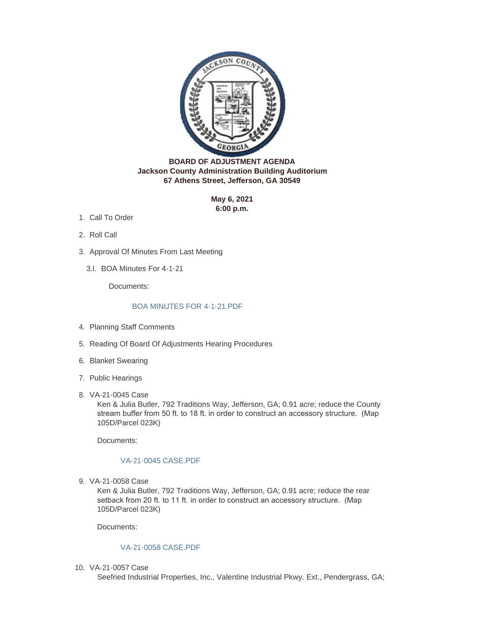

**BOARD OF ADJUSTMENT AGENDA Jackson County Administration Building Auditorium 67 Athens Street, Jefferson, GA 30549**

> **May 6, 2021 6:00 p.m.**

- 1. Call To Order
- 2. Roll Call
- 3. Approval Of Minutes From Last Meeting
	- BOA Minutes For 4-1-21 3.I.

Documents:

## [BOA MINUTES FOR 4-1-21.PDF](http://www.jacksoncountygov.com/AgendaCenter/ViewFile/Item/1383?fileID=8766)

- 4. Planning Staff Comments
- 5. Reading Of Board Of Adjustments Hearing Procedures
- 6. Blanket Swearing
- 7. Public Hearings
- VA-21-0045 Case 8.

Ken & Julia Butler, 792 Traditions Way, Jefferson, GA; 0.91 acre; reduce the County stream buffer from 50 ft. to 18 ft. in order to construct an accessory structure. (Map 105D/Parcel 023K)

Documents:

## [VA-21-0045 CASE.PDF](http://www.jacksoncountygov.com/AgendaCenter/ViewFile/Item/1380?fileID=8763)

VA-21-0058 Case 9.

Ken & Julia Butler, 792 Traditions Way, Jefferson, GA; 0.91 acre; reduce the rear setback from 20 ft. to 11 ft. in order to construct an accessory structure. (Map 105D/Parcel 023K)

Documents:

## [VA-21-0058 CASE.PDF](http://www.jacksoncountygov.com/AgendaCenter/ViewFile/Item/1381?fileID=8764)

VA-21-0057 Case 10.

Seefried Industrial Properties, Inc., Valentine Industrial Pkwy. Ext., Pendergrass, GA;